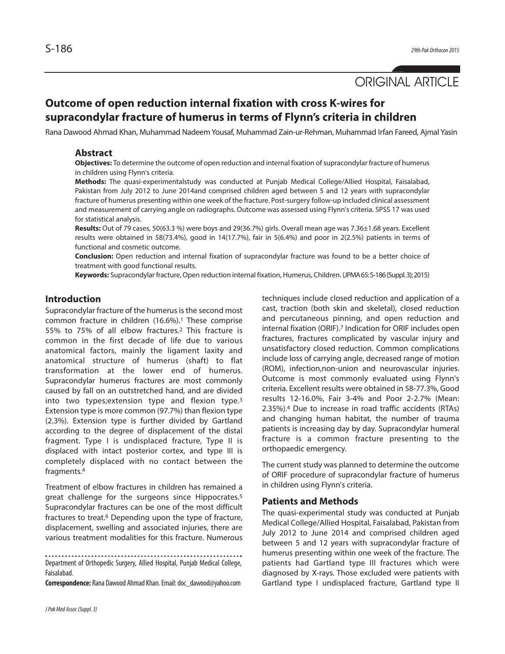# ORIGINAL ARTICLE

# **Outcome of open reduction internal fixation with cross K-wires for supracondylar fracture of humerus in terms of Flynn's criteria in children**

Rana Dawood Ahmad Khan, Muhammad Nadeem Yousaf, Muhammad Zain-ur-Rehman, Muhammad Irfan Fareed, Ajmal Yasin

### **Abstract**

**Objectives:** To determine the outcome of open reduction and internal fixation of supracondylar fracture of humerus in children using Flynn's criteria.

**Methods:** The quasi-experimentalstudy was conducted at Punjab Medical College/Allied Hospital, Faisalabad, Pakistan from July 2012 to June 2014and comprised children aged between 5 and 12 years with supracondylar fracture of humerus presenting within one week of the fracture. Post-surgery follow-up included clinical assessment and measurement of carrying angle on radiographs. Outcome was assessed using Flynn's criteria. SPSS 17 was used for statistical analysis.

**Results:** Out of 79 cases, 50(63.3 %) were boys and 29(36.7%) girls. Overall mean age was 7.36±1.68 years. Excellent results were obtained in 58(73.4%), good in 14(17.7%), fair in 5(6.4%) and poor in 2(2.5%) patients in terms of functional and cosmetic outcome.

**Conclusion:** Open reduction and internal fixation of supracondylar fracture was found to be a better choice of treatment with good functional results.

**Keywords:** Supracondylar fracture, Open reduction internal fixation, Humerus, Children. (JPMA65:S-186(Suppl.3);2015)

### **Introduction**

Supracondylar fracture of the humerus is the second most common fracture in children (16.6%). <sup>1</sup> These comprise 55% to 75% of all elbow fractures. <sup>2</sup> This fracture is common in the first decade of life due to various anatomical factors, mainly the ligament laxity and anatomical structure of humerus (shaft) to flat transformation at the lower end of humerus. Supracondylar humerus fractures are most commonly caused by fall on an outstretched hand, and are divided into two types;extension type and flexion type. 3 Extension type is more common (97.7%) than flexion type (2.3%). Extension type is further divided by Gartland according to the degree of displacement of the distal fragment. Type I is undisplaced fracture, Type II is displaced with intact posterior cortex, and type III is completely displaced with no contact between the fragments. 4

Treatment of elbow fractures in children has remained a great challenge for the surgeons since Hippocrates. 5 Supracondylar fractures can be one of the most difficult fractures to treat. <sup>6</sup> Depending upon the type of fracture, displacement, swelling and associated injuries, there are various treatment modalities for this fracture. Numerous

Department of Orthopedic Surgery, Allied Hospital, Punjab Medical College, Faisalabad.

**Correspondence:** Rana Dawood Ahmad Khan.Email:doc\_dawood@yahoo.com

techniques include closed reduction and application of a cast, traction (both skin and skeletal), closed reduction and percutaneous pinning, and open reduction and internal fixation (ORIF). <sup>7</sup> Indication for ORIF includes open fractures, fractures complicated by vascular injury and unsatisfactory closed reduction. Common complications include loss of carrying angle, decreased range of motion (ROM), infection,non-union and neurovascular injuries. Outcome is most commonly evaluated using Flynn's criteria. Excellent results were obtained in 58-77.3%, Good results 12-16.0%, Fair 3-4% and Poor 2-2.7% (Mean: 2.35%). <sup>4</sup> Due to increase in road traffic accidents (RTAs) and changing human habitat, the number of trauma patients is increasing day by day. Supracondylar humeral fracture is a common fracture presenting to the orthopaedic emergency.

The current study was planned to determine the outcome of ORIF procedure of supracondylar fracture of humerus in children using Flynn's criteria.

### **Patients and Methods**

The quasi-experimental study was conducted at Punjab Medical College/Allied Hospital, Faisalabad, Pakistan from July 2012 to June 2014 and comprised children aged between 5 and 12 years with supracondylar fracture of humerus presenting within one week of the fracture. The patients had Gartland type III fractures which were diagnosed by X-rays. Those excluded were patients with Gartland type I undisplaced fracture, Gartland type II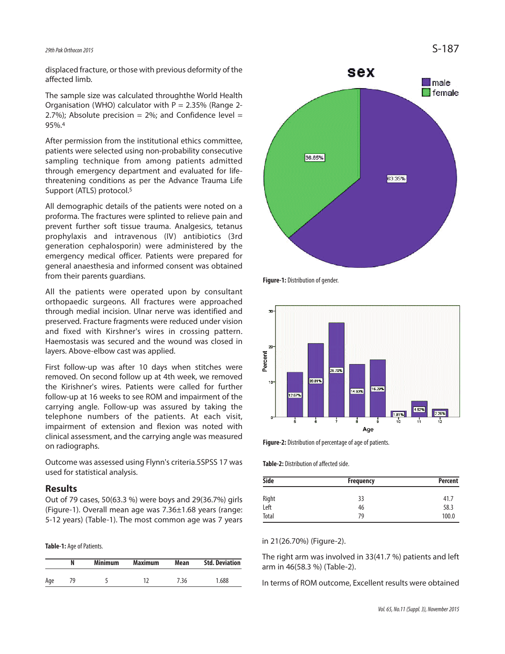# *29thPak Orthocon2015* S-187

displaced fracture, or those with previous deformity of the affected limb.

The sample size was calculated throughthe World Health Organisation (WHO) calculator with  $P = 2.35\%$  (Range 2-2.7%); Absolute precision =  $2\%$ ; and Confidence level = 95%. 4

After permission from the institutional ethics committee, patients were selected using non-probability consecutive sampling technique from among patients admitted through emergency department and evaluated for lifethreatening conditions as per the Advance Trauma Life Support (ATLS) protocol. 5

All demographic details of the patients were noted on a proforma. The fractures were splinted to relieve pain and prevent further soft tissue trauma. Analgesics, tetanus prophylaxis and intravenous (IV) antibiotics (3rd generation cephalosporin) were administered by the emergency medical officer. Patients were prepared for general anaesthesia and informed consent was obtained from their parents guardians.

All the patients were operated upon by consultant orthopaedic surgeons. All fractures were approached through medial incision. Ulnar nerve was identified and preserved. Fracture fragments were reduced under vision and fixed with Kirshner's wires in crossing pattern. Haemostasis was secured and the wound was closed in layers. Above-elbow cast was applied.

First follow-up was after 10 days when stitches were removed. On second follow up at 4th week, we removed the Kirishner's wires. Patients were called for further follow-up at 16 weeks to see ROM and impairment of the carrying angle. Follow-up was assured by taking the telephone numbers of the patients. At each visit, impairment of extension and flexion was noted with clinical assessment, and the carrying angle was measured on radiographs.

Outcome was assessed using Flynn's criteria.5SPSS 17 was used for statistical analysis.

#### **Results**

Out of 79 cases, 50(63.3 %) were boys and 29(36.7%) girls (Figure-1). Overall mean age was 7.36±1.68 years (range: 5-12 years) (Table-1). The most common age was 7 years

Table-1: Age of Patients.

|     | N  | <b>Minimum</b> | <b>Maximum</b> | Mean | <b>Std. Deviation</b> |
|-----|----|----------------|----------------|------|-----------------------|
| Age | 79 |                |                | 7.36 | 1.688                 |



**Figure-1:** Distribution of gender.



**Figure-2:** Distribution of percentage of age of patients.

**Table-2:** Distribution of affected side.

| <b>Side</b> | Frequency | <b>Percent</b> |
|-------------|-----------|----------------|
| Right       | 33        | 41.7           |
| Left        | 46        | 58.3           |
| Total       | 79        | 100.0          |

in 21(26.70%) (Figure-2).

The right arm was involved in 33(41.7 %) patients and left arm in 46(58.3 %) (Table-2).

In terms of ROM outcome, Excellent results were obtained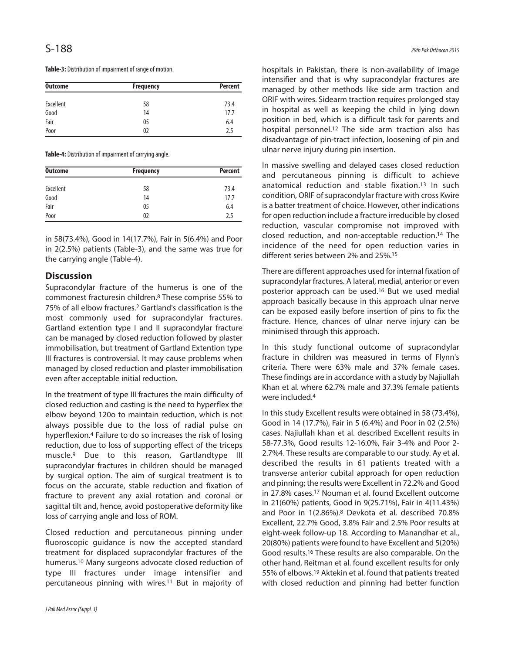Table-3: Distribution of impairment of range of motion.

| <b>Outcome</b> | <b>Frequency</b> | <b>Percent</b> |
|----------------|------------------|----------------|
| Excellent      | 58               | 73.4           |
| Good           | 14               | 17.7           |
| Fair           | 05               | 6.4            |
| Poor           | 02               | 2.5            |

Table-4: Distribution of impairment of carrying angle.

| <b>Outcome</b> | <b>Frequency</b> | <b>Percent</b> |
|----------------|------------------|----------------|
| Excellent      | 58               | 73.4           |
| Good           | 14               | 17.7           |
| Fair           | 05               | 6.4            |
| Poor           | 02               | 2.5            |

in 58(73.4%), Good in 14(17.7%), Fair in 5(6.4%) and Poor in 2(2.5%) patients (Table-3), and the same was true for the carrying angle (Table-4).

## **Discussion**

Supracondylar fracture of the humerus is one of the commonest fracturesin children. <sup>8</sup> These comprise 55% to 75% of all elbow fractures. <sup>2</sup> Gartland's classification is the most commonly used for supracondylar fractures. Gartland extention type I and II supracondylar fracture can be managed by closed reduction followed by plaster immobilisation, but treatment of Gartland Extention type III fractures is controversial. It may cause problems when managed by closed reduction and plaster immobilisation even after acceptable initial reduction.

In the treatment of type III fractures the main difficulty of closed reduction and casting is the need to hyperflex the elbow beyond 120o to maintain reduction, which is not always possible due to the loss of radial pulse on hyperflexion. <sup>4</sup> Failure to do so increases the risk of losing reduction, due to loss of supporting effect of the triceps muscle. <sup>9</sup> Due to this reason, Gartlandtype III supracondylar fractures in children should be managed by surgical option. The aim of surgical treatment is to focus on the accurate, stable reduction and fixation of fracture to prevent any axial rotation and coronal or sagittal tilt and, hence, avoid postoperative deformity like loss of carrying angle and loss of ROM.

Closed reduction and percutaneous pinning under fluoroscopic guidance is now the accepted standard treatment for displaced supracondylar fractures of the humerus. <sup>10</sup> Many surgeons advocate closed reduction of type III fractures under image intensifier and percutaneous pinning with wires. <sup>11</sup> But in majority of

hospitals in Pakistan, there is non-availability of image intensifier and that is why supracondylar fractures are managed by other methods like side arm traction and ORIF with wires. Sidearm traction requires prolonged stay in hospital as well as keeping the child in lying down position in bed, which is a difficult task for parents and hospital personnel. <sup>12</sup> The side arm traction also has disadvantage of pin-tract infection, loosening of pin and ulnar nerve injury during pin insertion.

In massive swelling and delayed cases closed reduction and percutaneous pinning is difficult to achieve anatomical reduction and stable fixation. <sup>13</sup> In such condition, ORIF of supracondylar fracture with cross Kwire is a batter treatment of choice. However, other indications for open reduction include a fracture irreducible by closed reduction, vascular compromise not improved with closed reduction, and non-acceptable reduction. <sup>14</sup> The incidence of the need for open reduction varies in different series between 2% and 25%. 15

There are different approaches used for internal fixation of supracondylar fractures. A lateral, medial, anterior or even posterior approach can be used. <sup>16</sup> But we used medial approach basically because in this approach ulnar nerve can be exposed easily before insertion of pins to fix the fracture. Hence, chances of ulnar nerve injury can be minimised through this approach.

In this study functional outcome of supracondylar fracture in children was measured in terms of Flynn's criteria. There were 63% male and 37% female cases. These findings are in accordance with a study by Najiullah Khan et al. where 62.7% male and 37.3% female patients were included. 4

In this study Excellent results were obtained in 58 (73.4%), Good in 14 (17.7%), Fair in 5 (6.4%) and Poor in 02 (2.5%) cases. Najiullah khan et al. described Excellent results in 58-77.3%, Good results 12-16.0%, Fair 3-4% and Poor 2- 2.7%4. These results are comparable to our study. Ay et al. described the results in 61 patients treated with a transverse anterior cubital approach for open reduction and pinning; the results were Excellent in 72.2% and Good in 27.8% cases. <sup>17</sup> Nouman et al. found Excellent outcome in 21(60%) patients, Good in 9(25.71%), Fair in 4(11.43%) and Poor in 1(2.86%). <sup>8</sup> Devkota et al. described 70.8% Excellent, 22.7% Good, 3.8% Fair and 2.5% Poor results at eight-week follow-up 18. According to Manandhar et al., 20(80%) patients were found to have Excellent and 5(20%) Good results.<sup>16</sup> These results are also comparable. On the other hand, Reitman et al. found excellent results for only 55% of elbows. <sup>19</sup> Aktekin et al. found that patients treated with closed reduction and pinning had better function